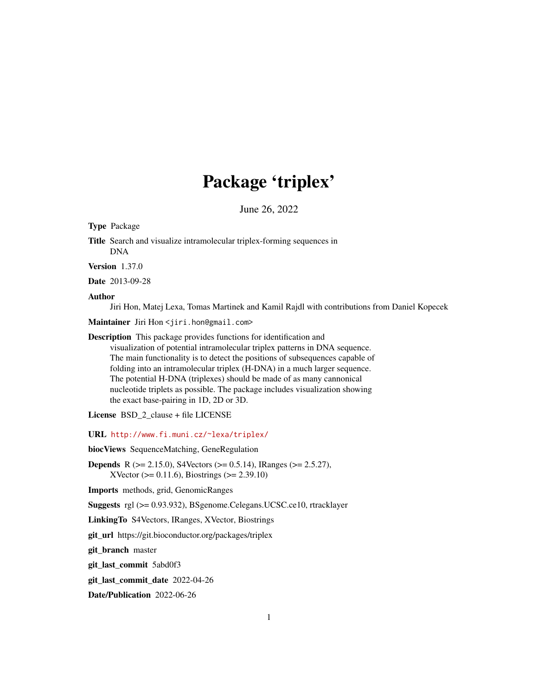# Package 'triplex'

June 26, 2022

<span id="page-0-0"></span>Type Package

Title Search and visualize intramolecular triplex-forming sequences in DNA

Version 1.37.0

Date 2013-09-28

Author

Jiri Hon, Matej Lexa, Tomas Martinek and Kamil Rajdl with contributions from Daniel Kopecek

Maintainer Jiri Hon <jiri.hon@gmail.com>

Description This package provides functions for identification and

visualization of potential intramolecular triplex patterns in DNA sequence. The main functionality is to detect the positions of subsequences capable of folding into an intramolecular triplex (H-DNA) in a much larger sequence. The potential H-DNA (triplexes) should be made of as many cannonical nucleotide triplets as possible. The package includes visualization showing the exact base-pairing in 1D, 2D or 3D.

License BSD\_2\_clause + file LICENSE

URL <http://www.fi.muni.cz/~lexa/triplex/>

biocViews SequenceMatching, GeneRegulation

Depends R (>= 2.15.0), S4Vectors (>= 0.5.14), IRanges (>= 2.5.27), XVector ( $>= 0.11.6$ ), Biostrings ( $>= 2.39.10$ )

Imports methods, grid, GenomicRanges

Suggests rgl (>= 0.93.932), BSgenome.Celegans.UCSC.ce10, rtracklayer

LinkingTo S4Vectors, IRanges, XVector, Biostrings

git\_url https://git.bioconductor.org/packages/triplex

git\_branch master

git\_last\_commit 5abd0f3

git\_last\_commit\_date 2022-04-26

Date/Publication 2022-06-26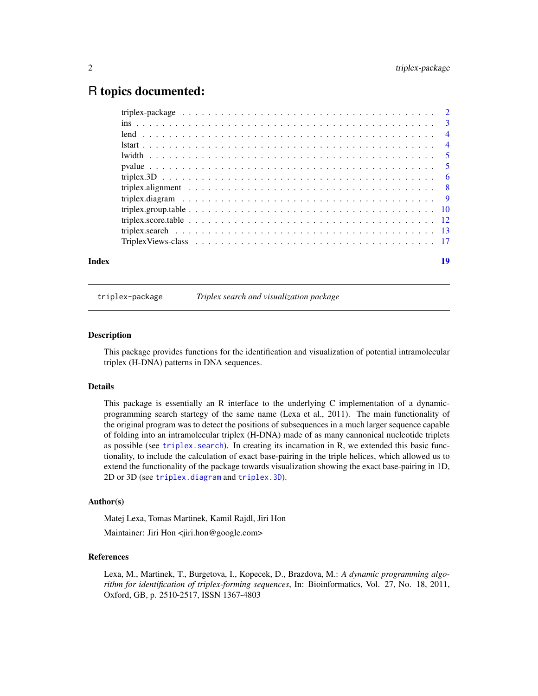# <span id="page-1-0"></span>R topics documented:

|  | 19 |
|--|----|

triplex-package *Triplex search and visualization package*

#### Description

This package provides functions for the identification and visualization of potential intramolecular triplex (H-DNA) patterns in DNA sequences.

#### Details

This package is essentially an R interface to the underlying C implementation of a dynamicprogramming search startegy of the same name (Lexa et al., 2011). The main functionality of the original program was to detect the positions of subsequences in a much larger sequence capable of folding into an intramolecular triplex (H-DNA) made of as many cannonical nucleotide triplets as possible (see [triplex.search](#page-12-1)). In creating its incarnation in R, we extended this basic functionality, to include the calculation of exact base-pairing in the triple helices, which allowed us to extend the functionality of the package towards visualization showing the exact base-pairing in 1D, 2D or 3D (see [triplex.diagram](#page-8-1) and [triplex.3D](#page-5-1)).

#### Author(s)

Matej Lexa, Tomas Martinek, Kamil Rajdl, Jiri Hon

Maintainer: Jiri Hon <jiri.hon@google.com>

#### References

Lexa, M., Martinek, T., Burgetova, I., Kopecek, D., Brazdova, M.: *A dynamic programming algorithm for identification of triplex-forming sequences*, In: Bioinformatics, Vol. 27, No. 18, 2011, Oxford, GB, p. 2510-2517, ISSN 1367-4803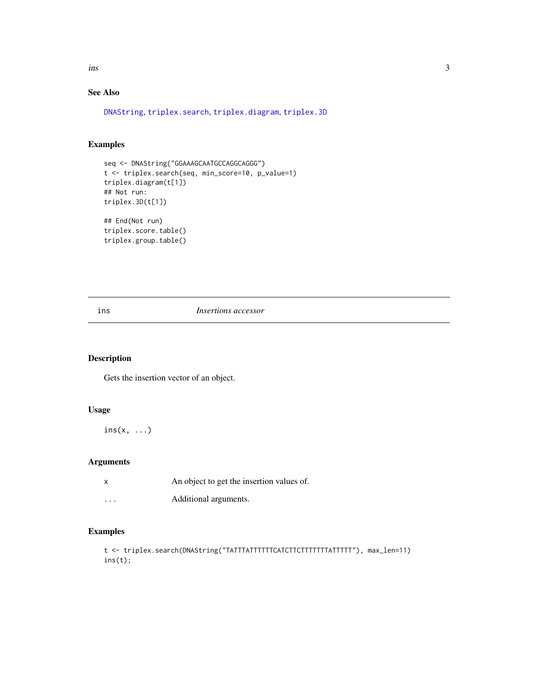<span id="page-2-0"></span>ins 3

# See Also

[DNAString](#page-0-0), [triplex.search](#page-12-1), [triplex.diagram](#page-8-1), [triplex.3D](#page-5-1)

# Examples

```
seq <- DNAString("GGAAAGCAATGCCAGGCAGGG")
t <- triplex.search(seq, min_score=10, p_value=1)
triplex.diagram(t[1])
## Not run:
triplex.3D(t[1])
```
## End(Not run) triplex.score.table() triplex.group.table()

#### ins *Insertions accessor*

# Description

Gets the insertion vector of an object.

## Usage

 $ins(x, \ldots)$ 

# Arguments

| X        | An object to get the insertion values of. |
|----------|-------------------------------------------|
| $\cdots$ | Additional arguments.                     |

```
t <- triplex.search(DNAString("TATTTATTTTTTCATCTTCTTTTTTTATTTTT"), max_len=11)
ins(t);
```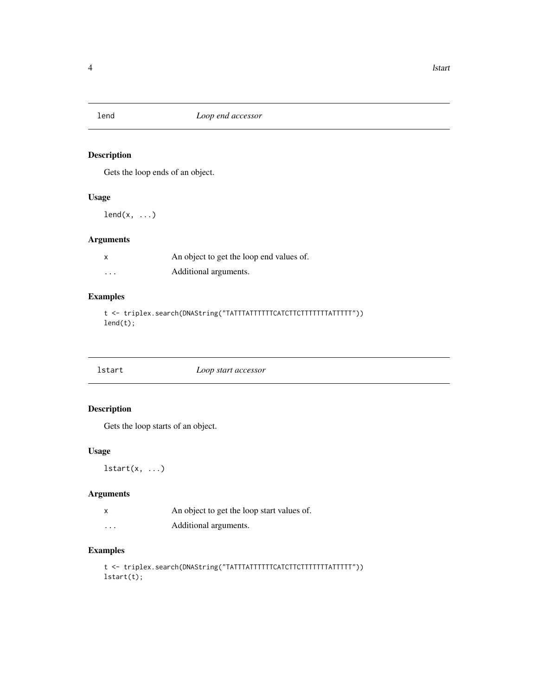<span id="page-3-0"></span>

Gets the loop ends of an object.

# Usage

 $lend(x, \ldots)$ 

# Arguments

| x                       | An object to get the loop end values of. |
|-------------------------|------------------------------------------|
| $\cdot$ $\cdot$ $\cdot$ | Additional arguments.                    |

# Examples

t <- triplex.search(DNAString("TATTTATTTTTTCATCTTCTTTTTTTATTTTT")) lend(t);

| lstart | Loop start accessor |  |
|--------|---------------------|--|

# Description

Gets the loop starts of an object.

# Usage

 $lstart(x, ...)$ 

# Arguments

| An object to get the loop start values of. |  |  |  |
|--------------------------------------------|--|--|--|
|                                            |  |  |  |

```
... Additional arguments.
```

```
t <- triplex.search(DNAString("TATTTATTTTTTCATCTTCTTTTTTTATTTTT"))
lstart(t);
```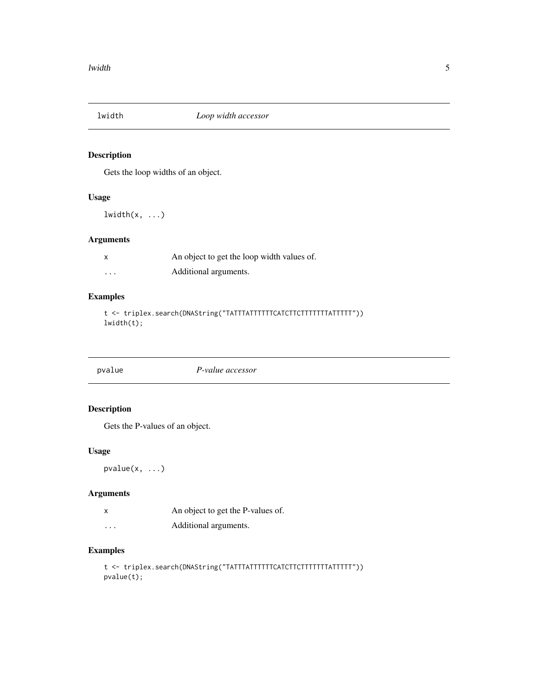<span id="page-4-0"></span>

Gets the loop widths of an object.

# Usage

 $lwidth(x, ...)$ 

# Arguments

| x        | An object to get the loop width values of. |
|----------|--------------------------------------------|
| $\cdots$ | Additional arguments.                      |

# Examples

t <- triplex.search(DNAString("TATTTATTTTTTCATCTTCTTTTTTTATTTTT")) lwidth(t);

pvalue *P-value accessor*

# Description

Gets the P-values of an object.

# Usage

pvalue(x, ...)

# Arguments

| An object to get the P-values of. |  |  |
|-----------------------------------|--|--|
|                                   |  |  |

... Additional arguments.

```
t <- triplex.search(DNAString("TATTTATTTTTTCATCTTCTTTTTTTATTTTT"))
pvalue(t);
```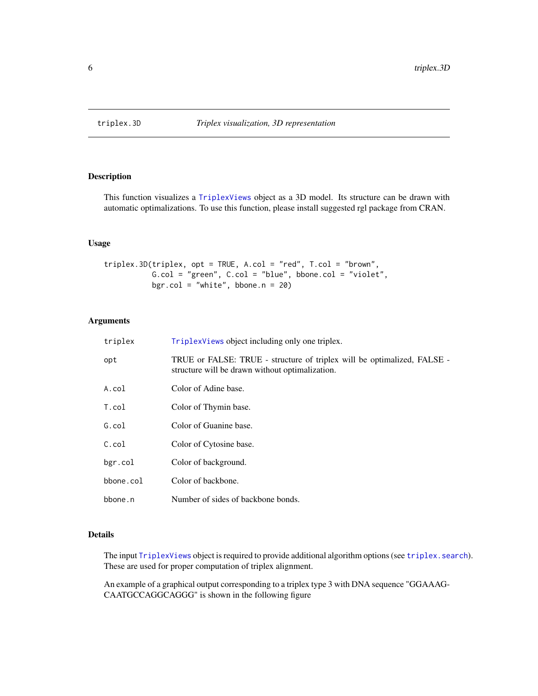<span id="page-5-1"></span><span id="page-5-0"></span>

This function visualizes a [TriplexViews](#page-16-1) object as a 3D model. Its structure can be drawn with automatic optimalizations. To use this function, please install suggested rgl package from CRAN.

#### Usage

```
triplex.3D(triplex, opt = TRUE, A.col = "red", T.col = "brown",
          G.col = "green", C.col = "blue", bbone.col = "violet",
          bgr.col = "white", bbone.n = 20)
```
# Arguments

| triplex      | TriplexViews object including only one triplex.                                                                            |
|--------------|----------------------------------------------------------------------------------------------------------------------------|
| opt          | TRUE or FALSE: TRUE - structure of triplex will be optimalized, FALSE -<br>structure will be drawn without optimalization. |
| A.col        | Color of Adine base.                                                                                                       |
| T.col        | Color of Thymin base.                                                                                                      |
| G.col        | Color of Guanine base.                                                                                                     |
| $C.\coloneq$ | Color of Cytosine base.                                                                                                    |
| bgr.col      | Color of background.                                                                                                       |
| bbone.col    | Color of backbone.                                                                                                         |
| bbone.n      | Number of sides of backbone bonds.                                                                                         |

# Details

The input [TriplexViews](#page-16-1) object is required to provide additional algorithm options (see [triplex.search](#page-12-1)). These are used for proper computation of triplex alignment.

An example of a graphical output corresponding to a triplex type 3 with DNA sequence "GGAAAG-CAATGCCAGGCAGGG" is shown in the following figure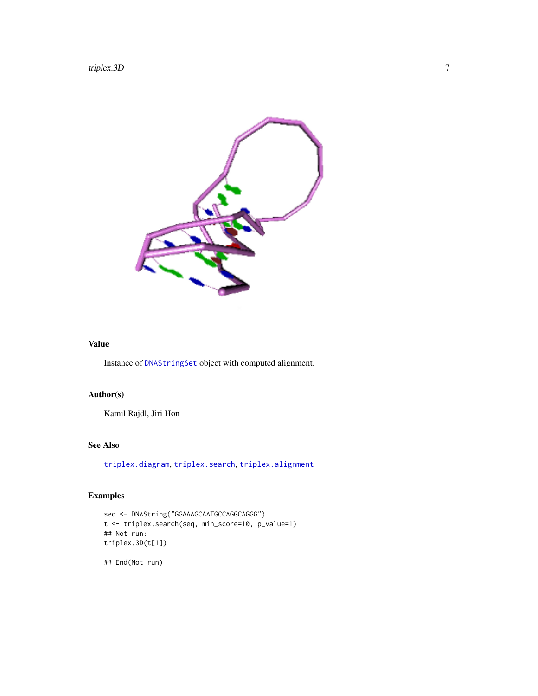<span id="page-6-0"></span>

# Value

Instance of [DNAStringSet](#page-0-0) object with computed alignment.

# Author(s)

Kamil Rajdl, Jiri Hon

# See Also

[triplex.diagram](#page-8-1), [triplex.search](#page-12-1), [triplex.alignment](#page-7-1)

# Examples

```
seq <- DNAString("GGAAAGCAATGCCAGGCAGGG")
t <- triplex.search(seq, min_score=10, p_value=1)
## Not run:
triplex.3D(t[1])
```
## End(Not run)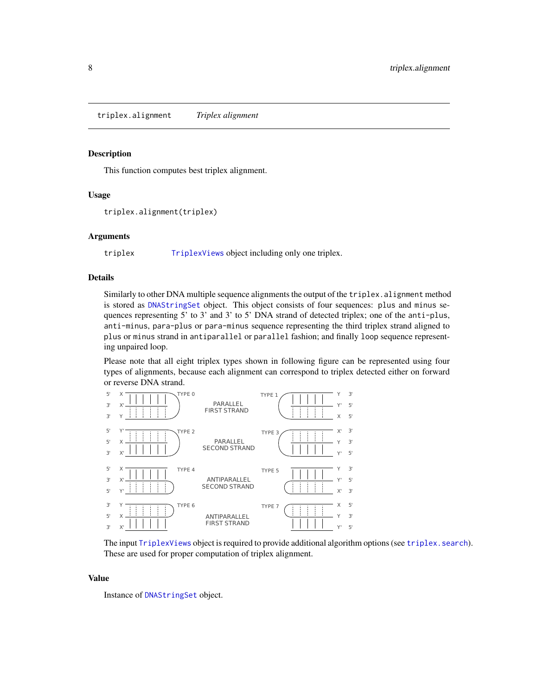<span id="page-7-1"></span><span id="page-7-0"></span>triplex.alignment *Triplex alignment*

#### Description

This function computes best triplex alignment.

#### Usage

```
triplex.alignment(triplex)
```
#### Arguments

triplex [TriplexViews](#page-16-1) object including only one triplex.

# Details

Similarly to other DNA multiple sequence alignments the output of the triplex.alignment method is stored as [DNAStringSet](#page-0-0) object. This object consists of four sequences: plus and minus sequences representing 5' to 3' and 3' to 5' DNA strand of detected triplex; one of the anti-plus, anti-minus, para-plus or para-minus sequence representing the third triplex strand aligned to plus or minus strand in antiparallel or parallel fashion; and finally loop sequence representing unpaired loop.

Please note that all eight triplex types shown in following figure can be represented using four types of alignments, because each alignment can correspond to triplex detected either on forward or reverse DNA strand.



The input [TriplexViews](#page-16-1) object is required to provide additional algorithm options (see [triplex.search](#page-12-1)). These are used for proper computation of triplex alignment.

#### Value

Instance of [DNAStringSet](#page-0-0) object.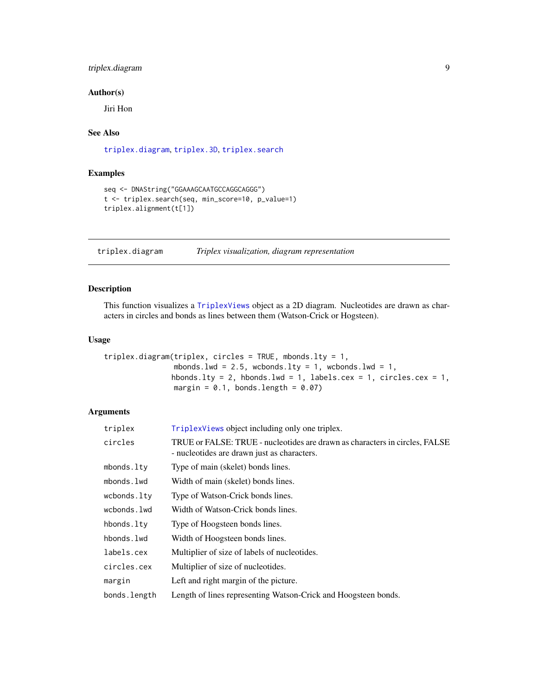# <span id="page-8-0"></span>triplex.diagram 9

#### Author(s)

Jiri Hon

# See Also

[triplex.diagram](#page-8-1), [triplex.3D](#page-5-1), [triplex.search](#page-12-1)

# Examples

```
seq <- DNAString("GGAAAGCAATGCCAGGCAGGG")
t <- triplex.search(seq, min_score=10, p_value=1)
triplex.alignment(t[1])
```
<span id="page-8-1"></span>triplex.diagram *Triplex visualization, diagram representation*

# Description

This function visualizes a [TriplexViews](#page-16-1) object as a 2D diagram. Nucleotides are drawn as characters in circles and bonds as lines between them (Watson-Crick or Hogsteen).

# Usage

```
triplex.diagram(triplex, circles = TRUE, mbonds.lty = 1,
               mbonds.lwd = 2.5, wcbonds.lty = 1, wcbonds.lwd = 1,
               hbonds.lty = 2, hbonds.lwd = 1, labels.cex = 1, circles.cex = 1,
               margin = 0.1, bonds.length = 0.07)
```
# Arguments

| triplex      | TriplexViews object including only one triplex.                                                                            |
|--------------|----------------------------------------------------------------------------------------------------------------------------|
| circles      | TRUE or FALSE: TRUE - nucleotides are drawn as characters in circles, FALSE<br>- nucleotides are drawn just as characters. |
| mbonds.ltv   | Type of main (skelet) bonds lines.                                                                                         |
| mbonds.lwd   | Width of main (skelet) bonds lines.                                                                                        |
| wcbonds.lty  | Type of Watson-Crick bonds lines.                                                                                          |
| wcbonds.lwd  | Width of Watson-Crick bonds lines.                                                                                         |
| hbonds.lty   | Type of Hoogsteen bonds lines.                                                                                             |
| hbonds.lwd   | Width of Hoogsteen bonds lines.                                                                                            |
| labels.cex   | Multiplier of size of labels of nucleotides.                                                                               |
| circles.cex  | Multiplier of size of nucleotides.                                                                                         |
| margin       | Left and right margin of the picture.                                                                                      |
| bonds.length | Length of lines representing Watson-Crick and Hoogsteen bonds.                                                             |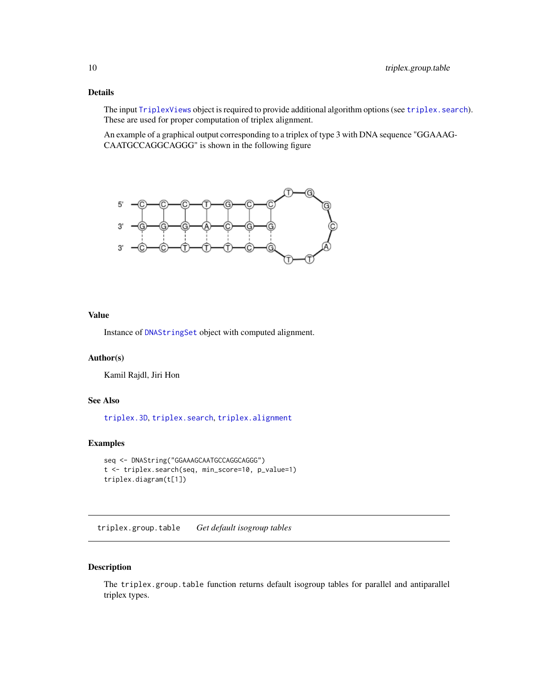# <span id="page-9-0"></span>Details

The input [TriplexViews](#page-16-1) object is required to provide additional algorithm options (see [triplex.search](#page-12-1)). These are used for proper computation of triplex alignment.

An example of a graphical output corresponding to a triplex of type 3 with DNA sequence "GGAAAG-CAATGCCAGGCAGGG" is shown in the following figure



#### Value

Instance of [DNAStringSet](#page-0-0) object with computed alignment.

# Author(s)

Kamil Rajdl, Jiri Hon

#### See Also

[triplex.3D](#page-5-1), [triplex.search](#page-12-1), [triplex.alignment](#page-7-1)

#### Examples

```
seq <- DNAString("GGAAAGCAATGCCAGGCAGGG")
t <- triplex.search(seq, min_score=10, p_value=1)
triplex.diagram(t[1])
```
<span id="page-9-1"></span>triplex.group.table *Get default isogroup tables*

#### Description

The triplex.group.table function returns default isogroup tables for parallel and antiparallel triplex types.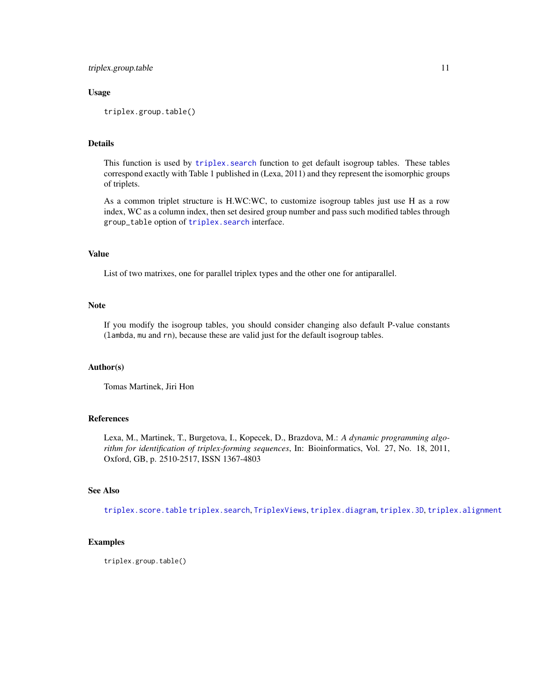#### <span id="page-10-0"></span>triplex.group.table 11

#### Usage

triplex.group.table()

#### Details

This function is used by triplex. search function to get default isogroup tables. These tables correspond exactly with Table 1 published in (Lexa, 2011) and they represent the isomorphic groups of triplets.

As a common triplet structure is H.WC:WC, to customize isogroup tables just use H as a row index, WC as a column index, then set desired group number and pass such modified tables through group\_table option of [triplex.search](#page-12-1) interface.

#### Value

List of two matrixes, one for parallel triplex types and the other one for antiparallel.

#### Note

If you modify the isogroup tables, you should consider changing also default P-value constants (lambda, mu and rn), because these are valid just for the default isogroup tables.

#### Author(s)

Tomas Martinek, Jiri Hon

#### References

Lexa, M., Martinek, T., Burgetova, I., Kopecek, D., Brazdova, M.: *A dynamic programming algorithm for identification of triplex-forming sequences*, In: Bioinformatics, Vol. 27, No. 18, 2011, Oxford, GB, p. 2510-2517, ISSN 1367-4803

# See Also

[triplex.score.table](#page-11-1) [triplex.search](#page-12-1), [TriplexViews](#page-16-1), [triplex.diagram](#page-8-1), [triplex.3D](#page-5-1), [triplex.alignment](#page-7-1)

#### Examples

triplex.group.table()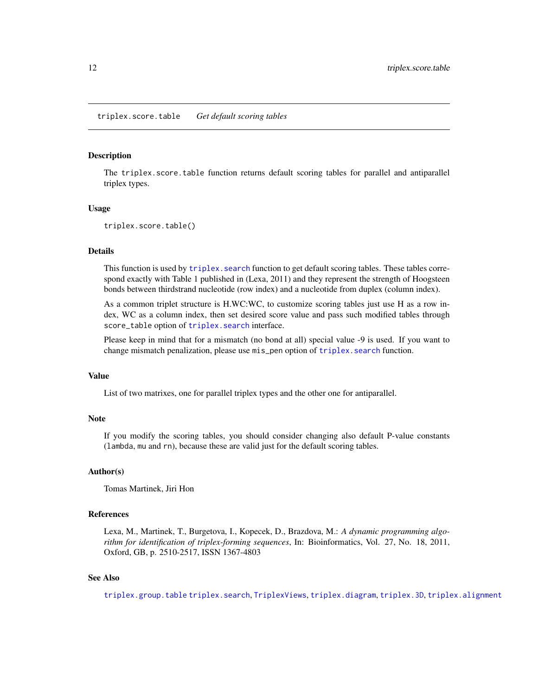<span id="page-11-1"></span><span id="page-11-0"></span>The triplex.score.table function returns default scoring tables for parallel and antiparallel triplex types.

#### Usage

```
triplex.score.table()
```
#### Details

This function is used by triplex. search function to get default scoring tables. These tables correspond exactly with Table 1 published in (Lexa, 2011) and they represent the strength of Hoogsteen bonds between thirdstrand nucleotide (row index) and a nucleotide from duplex (column index).

As a common triplet structure is H.WC:WC, to customize scoring tables just use H as a row index, WC as a column index, then set desired score value and pass such modified tables through score\_table option of [triplex.search](#page-12-1) interface.

Please keep in mind that for a mismatch (no bond at all) special value -9 is used. If you want to change mismatch penalization, please use mis\_pen option of triplex. search function.

#### Value

List of two matrixes, one for parallel triplex types and the other one for antiparallel.

#### **Note**

If you modify the scoring tables, you should consider changing also default P-value constants (lambda, mu and rn), because these are valid just for the default scoring tables.

#### Author(s)

Tomas Martinek, Jiri Hon

#### References

Lexa, M., Martinek, T., Burgetova, I., Kopecek, D., Brazdova, M.: *A dynamic programming algorithm for identification of triplex-forming sequences*, In: Bioinformatics, Vol. 27, No. 18, 2011, Oxford, GB, p. 2510-2517, ISSN 1367-4803

#### See Also

[triplex.group.table](#page-9-1) [triplex.search](#page-12-1), [TriplexViews](#page-16-1), [triplex.diagram](#page-8-1), [triplex.3D](#page-5-1), [triplex.alignment](#page-7-1)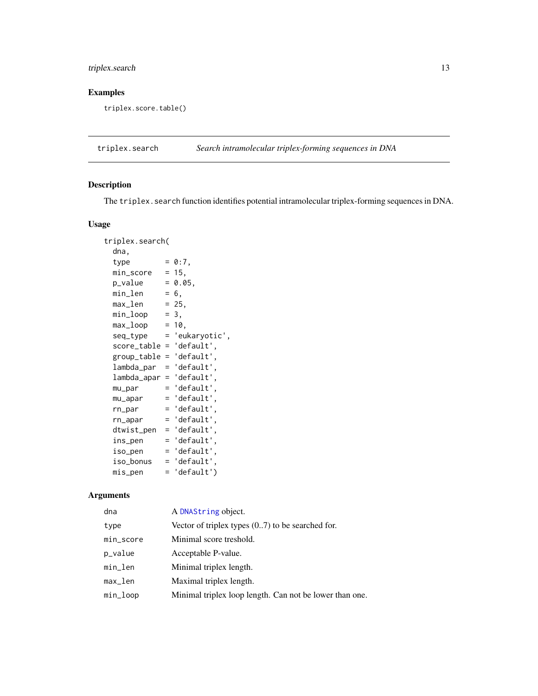# <span id="page-12-0"></span>triplex.search 13

# Examples

triplex.score.table()

<span id="page-12-1"></span>triplex.search *Search intramolecular triplex-forming sequences in DNA*

# Description

The triplex.search function identifies potential intramolecular triplex-forming sequences in DNA.

# Usage

| triplex.search( |     |               |
|-----------------|-----|---------------|
| dna,            |     |               |
| type            |     | $= 0:7$ ,     |
| min_score       |     | $= 15,$       |
| p_value         |     | $= 0.05,$     |
| min_len         |     | $= 6,$        |
| max_len         |     | $= 25,$       |
| min_loop        |     | $= 3,$        |
| max_loop        |     | $= 10.$       |
| seq_type        | $=$ | 'eukaryotic', |
| score_table     | $=$ | 'default',    |
| group_table     | $=$ | 'default',    |
| lambda_par      | $=$ | 'default',    |
| lambda_apar     | $=$ | 'default',    |
| mu_par          | Ξ   | 'default',    |
| mu_apar         | $=$ | 'default'.    |
| $rn\_par$       | $=$ | 'default',    |
| rn_apar         | $=$ | 'default',    |
| dtwist_pen      | $=$ | 'default'     |
| ins_pen         | $=$ | 'default',    |
| iso_pen         | $=$ | 'default',    |
| iso_bonus       | $=$ | 'default',    |
| mis_pen         | $=$ | 'default')    |

# Arguments

| dna                    | A DNAString object.                                     |
|------------------------|---------------------------------------------------------|
| type                   | Vector of triplex types $(07)$ to be searched for.      |
| min_score              | Minimal score treshold.                                 |
| p_value                | Acceptable P-value.                                     |
| min_len                | Minimal triplex length.                                 |
| $max$ <sub>-</sub> len | Maximal triplex length.                                 |
| min_loop               | Minimal triplex loop length. Can not be lower than one. |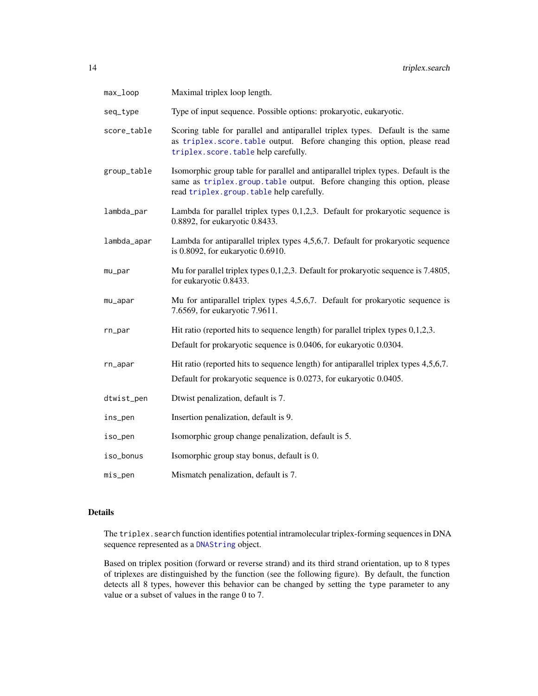<span id="page-13-0"></span>

| max_loop    | Maximal triplex loop length.                                                                                                                                                                              |
|-------------|-----------------------------------------------------------------------------------------------------------------------------------------------------------------------------------------------------------|
| seq_type    | Type of input sequence. Possible options: prokaryotic, eukaryotic.                                                                                                                                        |
| score_table | Scoring table for parallel and antiparallel triplex types. Default is the same<br>as triplex.score.table output. Before changing this option, please read<br>triplex.score.table help carefully.          |
| group_table | Isomorphic group table for parallel and antiparallel triplex types. Default is the<br>same as triplex.group.table output. Before changing this option, please<br>read triplex.group.table help carefully. |
| lambda_par  | Lambda for parallel triplex types $0,1,2,3$ . Default for prokaryotic sequence is<br>0.8892, for eukaryotic 0.8433.                                                                                       |
| lambda_apar | Lambda for antiparallel triplex types 4,5,6,7. Default for prokaryotic sequence<br>is 0.8092, for eukaryotic 0.6910.                                                                                      |
| mu_par      | Mu for parallel triplex types 0,1,2,3. Default for prokaryotic sequence is 7.4805,<br>for eukaryotic 0.8433.                                                                                              |
| mu_apar     | Mu for antiparallel triplex types 4,5,6,7. Default for prokaryotic sequence is<br>7.6569, for eukaryotic 7.9611.                                                                                          |
| rn_par      | Hit ratio (reported hits to sequence length) for parallel triplex types $0,1,2,3$ .<br>Default for prokaryotic sequence is 0.0406, for eukaryotic 0.0304.                                                 |
| rn_apar     | Hit ratio (reported hits to sequence length) for antiparallel triplex types 4,5,6,7.<br>Default for prokaryotic sequence is 0.0273, for eukaryotic 0.0405.                                                |
| dtwist_pen  | Dtwist penalization, default is 7.                                                                                                                                                                        |
| ins_pen     | Insertion penalization, default is 9.                                                                                                                                                                     |
| iso_pen     | Isomorphic group change penalization, default is 5.                                                                                                                                                       |
| iso_bonus   | Isomorphic group stay bonus, default is 0.                                                                                                                                                                |
| mis_pen     | Mismatch penalization, default is 7.                                                                                                                                                                      |

# Details

The triplex.search function identifies potential intramolecular triplex-forming sequences in DNA sequence represented as a [DNAString](#page-0-0) object.

Based on triplex position (forward or reverse strand) and its third strand orientation, up to 8 types of triplexes are distinguished by the function (see the following figure). By default, the function detects all 8 types, however this behavior can be changed by setting the type parameter to any value or a subset of values in the range 0 to 7.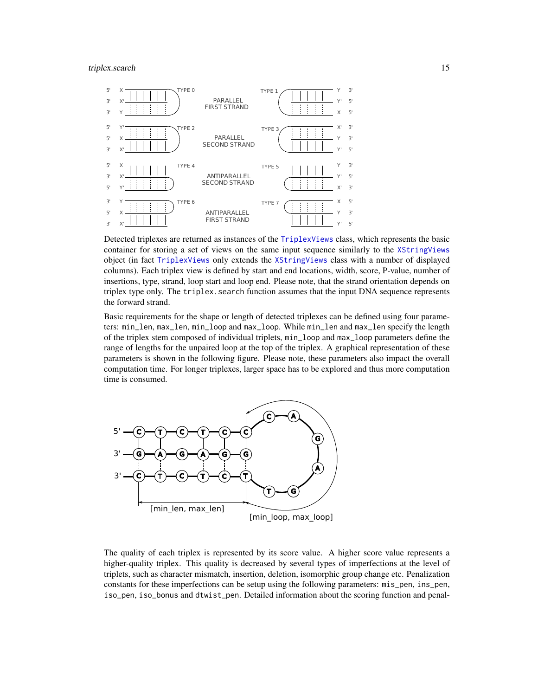#### <span id="page-14-0"></span>triplex.search 15



Detected triplexes are returned as instances of the [TriplexViews](#page-16-1) class, which represents the basic container for storing a set of views on the same input sequence similarly to the [XStringViews](#page-0-0) object (in fact [TriplexViews](#page-16-1) only extends the [XStringViews](#page-0-0) class with a number of displayed columns). Each triplex view is defined by start and end locations, width, score, P-value, number of insertions, type, strand, loop start and loop end. Please note, that the strand orientation depends on triplex type only. The triplex, search function assumes that the input DNA sequence represents the forward strand.

Basic requirements for the shape or length of detected triplexes can be defined using four parameters: min\_len, max\_len, min\_loop and max\_loop. While min\_len and max\_len specify the length of the triplex stem composed of individual triplets, min\_loop and max\_loop parameters define the range of lengths for the unpaired loop at the top of the triplex. A graphical representation of these parameters is shown in the following figure. Please note, these parameters also impact the overall computation time. For longer triplexes, larger space has to be explored and thus more computation time is consumed.



The quality of each triplex is represented by its score value. A higher score value represents a higher-quality triplex. This quality is decreased by several types of imperfections at the level of triplets, such as character mismatch, insertion, deletion, isomorphic group change etc. Penalization constants for these imperfections can be setup using the following parameters: mis\_pen, ins\_pen, iso\_pen, iso\_bonus and dtwist\_pen. Detailed information about the scoring function and penal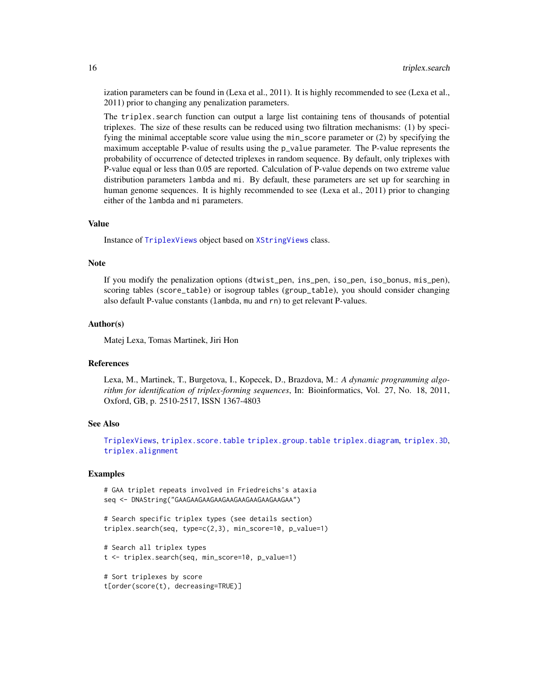ization parameters can be found in (Lexa et al., 2011). It is highly recommended to see (Lexa et al., 2011) prior to changing any penalization parameters.

The triplex.search function can output a large list containing tens of thousands of potential triplexes. The size of these results can be reduced using two filtration mechanisms: (1) by specifying the minimal acceptable score value using the min\_score parameter or (2) by specifying the maximum acceptable P-value of results using the p\_value parameter. The P-value represents the probability of occurrence of detected triplexes in random sequence. By default, only triplexes with P-value equal or less than 0.05 are reported. Calculation of P-value depends on two extreme value distribution parameters lambda and mi. By default, these parameters are set up for searching in human genome sequences. It is highly recommended to see (Lexa et al., 2011) prior to changing either of the lambda and mi parameters.

#### Value

Instance of [TriplexViews](#page-16-1) object based on [XStringViews](#page-0-0) class.

#### **Note**

If you modify the penalization options (dtwist\_pen, ins\_pen, iso\_pen, iso\_bonus, mis\_pen), scoring tables (score\_table) or isogroup tables (group\_table), you should consider changing also default P-value constants (lambda, mu and rn) to get relevant P-values.

#### Author(s)

Matej Lexa, Tomas Martinek, Jiri Hon

#### References

Lexa, M., Martinek, T., Burgetova, I., Kopecek, D., Brazdova, M.: *A dynamic programming algorithm for identification of triplex-forming sequences*, In: Bioinformatics, Vol. 27, No. 18, 2011, Oxford, GB, p. 2510-2517, ISSN 1367-4803

#### See Also

[TriplexViews](#page-16-1), [triplex.score.table](#page-11-1) [triplex.group.table](#page-9-1) [triplex.diagram](#page-8-1), [triplex.3D](#page-5-1), [triplex.alignment](#page-7-1)

#### Examples

```
# GAA triplet repeats involved in Friedreichs's ataxia
seq <- DNAString("GAAGAAGAAGAAGAAGAAGAAGAAGAAGAA")
```
# Search specific triplex types (see details section) triplex.search(seq, type=c(2,3), min\_score=10, p\_value=1)

```
# Search all triplex types
t <- triplex.search(seq, min_score=10, p_value=1)
```

```
# Sort triplexes by score
t[order(score(t), decreasing=TRUE)]
```
<span id="page-15-0"></span>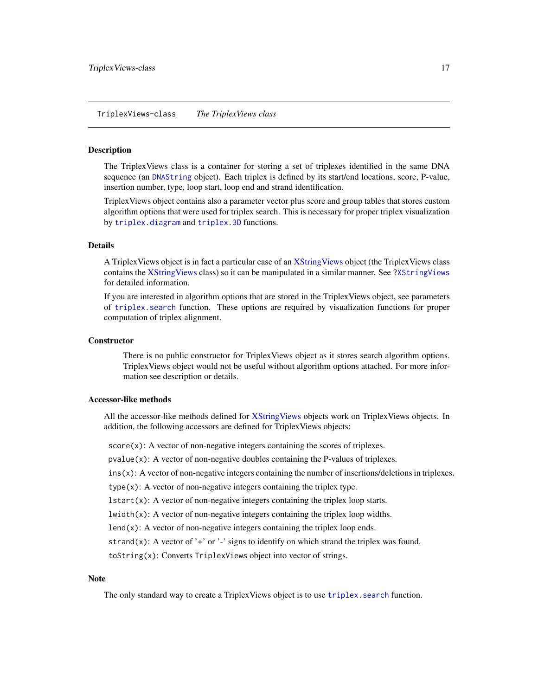<span id="page-16-0"></span>TriplexViews-class *The TriplexViews class*

#### <span id="page-16-1"></span>Description

The TriplexViews class is a container for storing a set of triplexes identified in the same DNA sequence (an [DNAString](#page-0-0) object). Each triplex is defined by its start/end locations, score, P-value, insertion number, type, loop start, loop end and strand identification.

TriplexViews object contains also a parameter vector plus score and group tables that stores custom algorithm options that were used for triplex search. This is necessary for proper triplex visualization by [triplex.diagram](#page-8-1) and [triplex.3D](#page-5-1) functions.

#### Details

A TriplexViews object is in fact a particular case of an [XStringViews](#page-0-0) object (the TriplexViews class contains the [XStringViews](#page-0-0) class) so it can be manipulated in a similar manner. See [?XStringViews](#page-0-0) for detailed information.

If you are interested in algorithm options that are stored in the TriplexViews object, see parameters of [triplex.search](#page-12-1) function. These options are required by visualization functions for proper computation of triplex alignment.

#### **Constructor**

There is no public constructor for TriplexViews object as it stores search algorithm options. TriplexViews object would not be useful without algorithm options attached. For more information see description or details.

# Accessor-like methods

All the accessor-like methods defined for [XStringViews](#page-0-0) objects work on TriplexViews objects. In addition, the following accessors are defined for TriplexViews objects:

score(x): A vector of non-negative integers containing the scores of triplexes.

 $pvalue(x)$ : A vector of non-negative doubles containing the P-values of triplexes.

ins(x): A vector of non-negative integers containing the number of insertions/deletions in triplexes.

type(x): A vector of non-negative integers containing the triplex type.

 $lstart(x)$ : A vector of non-negative integers containing the triplex loop starts.

 $lwidth(x)$ : A vector of non-negative integers containing the triplex loop widths.

lend $(x)$ : A vector of non-negative integers containing the triplex loop ends.

strand(x): A vector of '+' or '-' signs to identify on which strand the triplex was found.

toString(x): Converts TriplexViews object into vector of strings.

#### **Note**

The only standard way to create a TriplexViews object is to use triplex. search function.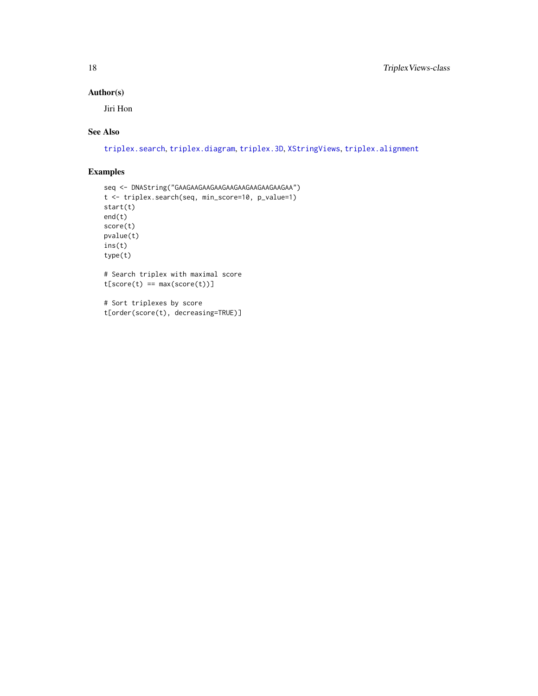#### <span id="page-17-0"></span>Author(s)

Jiri Hon

# See Also

[triplex.search](#page-12-1), [triplex.diagram](#page-8-1), [triplex.3D](#page-5-1), [XStringViews](#page-0-0), [triplex.alignment](#page-7-1)

```
seq <- DNAString("GAAGAAGAAGAAGAAGAAGAAGAAGAAGAA")
t <- triplex.search(seq, min_score=10, p_value=1)
start(t)
end(t)
score(t)
pvalue(t)
ins(t)
type(t)
# Search triplex with maximal score
t[score(t) == max(score(t))]# Sort triplexes by score
t[order(score(t), decreasing=TRUE)]
```